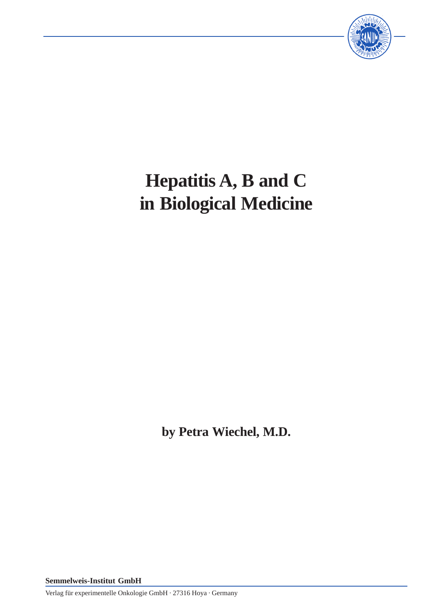

# **Hepatitis A, B and C in Biological Medicine**

**by Petra Wiechel, M.D.**

**Semmelweis-Institut GmbH**

Verlag für experimentelle Onkologie GmbH · 27316 Hoya · Germany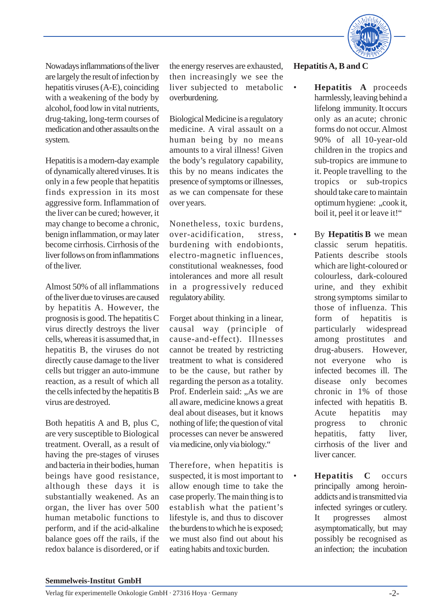

Nowadays inflammations of the liver are largely the result of infection by hepatitis viruses (A-E), coinciding with a weakening of the body by alcohol, food low in vital nutrients, drug-taking, long-term courses of medication and other assaults on the system.

Hepatitis is a modern-day example of dynamically altered viruses. It is only in a few people that hepatitis finds expression in its most aggressive form. Inflammation of the liver can be cured; however, it may change to become a chronic, benign inflammation, or may later become cirrhosis. Cirrhosis of the liver follows on from inflammations of the liver.

Almost 50% of all inflammations of the liver due to viruses are caused by hepatitis A. However, the prognosis is good. The hepatitis C virus directly destroys the liver cells, whereas it is assumed that, in hepatitis B, the viruses do not directly cause damage to the liver cells but trigger an auto-immune reaction, as a result of which all the cells infected by the hepatitis B virus are destroyed.

Both hepatitis A and B, plus C, are very susceptible to Biological treatment. Overall, as a result of having the pre-stages of viruses and bacteria in their bodies, human beings have good resistance, although these days it is substantially weakened. As an organ, the liver has over 500 human metabolic functions to perform, and if the acid-alkaline balance goes off the rails, if the redox balance is disordered, or if the energy reserves are exhausted, then increasingly we see the liver subjected to metabolic overburdening.

Biological Medicine is a regulatory medicine. A viral assault on a human being by no means amounts to a viral illness! Given the body's regulatory capability, this by no means indicates the presence of symptoms or illnesses, as we can compensate for these over years.

Nonetheless, toxic burdens, over-acidification, stress, burdening with endobionts, electro-magnetic influences, constitutional weaknesses, food intolerances and more all result in a progressively reduced regulatory ability.

Forget about thinking in a linear, causal way (principle of cause-and-effect). Illnesses cannot be treated by restricting treatment to what is considered to be the cause, but rather by regarding the person as a totality. Prof. Enderlein said: "As we are all aware, medicine knows a great deal about diseases, but it knows nothing of life; the question of vital processes can never be answered via medicine, only via biology."

Therefore, when hepatitis is suspected, it is most important to allow enough time to take the case properly. The main thing is to establish what the patient's lifestyle is, and thus to discover the burdens to which he is exposed; we must also find out about his eating habits and toxic burden.

### **Hepatitis A, B and C**

- **Hepatitis A** proceeds harmlessly, leaving behind a lifelong immunity. It occurs only as an acute; chronic forms do not occur. Almost 90% of all 10-year-old children in the tropics and sub-tropics are immune to it. People travelling to the tropics or sub-tropics should take care to maintain optimum hygiene: "cook it, boil it, peel it or leave it!"
- By **Hepatitis B** we mean classic serum hepatitis. Patients describe stools which are light-coloured or colourless, dark-coloured urine, and they exhibit strong symptoms similar to those of influenza. This form of hepatitis is particularly widespread among prostitutes and drug-abusers. However, not everyone who is infected becomes ill. The disease only becomes chronic in 1% of those infected with hepatitis B. Acute hepatitis may progress to chronic hepatitis, fatty liver, cirrhosis of the liver and liver cancer.
- **Hepatitis C** occurs principally among heroinaddicts and is transmitted via infected syringes or cutlery. It progresses almost asymptomatically, but may possibly be recognised as an infection; the incubation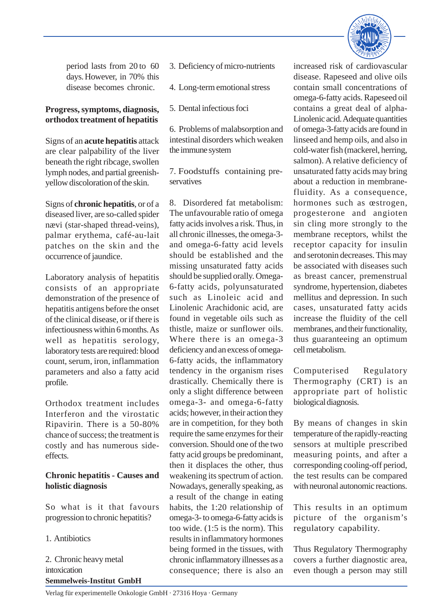

period lasts from 20 to 60 days. However, in 70% this disease becomes chronic.

#### **Progress, symptoms, diagnosis, orthodox treatment of hepatitis**

Signs of an **acute hepatitis** attack are clear palpability of the liver beneath the right ribcage, swollen lymph nodes, and partial greenishyellow discoloration of the skin.

Signs of **chronic hepatitis**, or of a diseased liver, are so-called spider nævi (star-shaped thread-veins), palmar erythema, café-au-lait patches on the skin and the occurrence of jaundice.

Laboratory analysis of hepatitis consists of an appropriate demonstration of the presence of hepatitis antigens before the onset of the clinical disease, or if there is infectiousness within 6 months. As well as hepatitis serology, laboratory tests are required: blood count, serum, iron, inflammation parameters and also a fatty acid profile.

Orthodox treatment includes Interferon and the virostatic Ripavirin. There is a 50-80% chance of success; the treatment is costly and has numerous sideeffects.

# **Chronic hepatitis - Causes and holistic diagnosis**

So what is it that favours progression to chronic hepatitis?

1. Antibiotics

**Semmelweis-Institut GmbH** 2. Chronic heavy metal intoxication

- 3. Deficiency of micro-nutrients
- 4. Long-term emotional stress
- 5. Dental infectious foci

6. Problems of malabsorption and intestinal disorders which weaken the immune system

7. Foodstuffs containing preservatives

8. Disordered fat metabolism: The unfavourable ratio of omega fatty acids involves a risk. Thus, in all chronic illnesses, the omega-3 and omega-6-fatty acid levels should be established and the missing unsaturated fatty acids should be supplied orally. Omega-6-fatty acids, polyunsaturated such as Linoleic acid and Linolenic Arachidonic acid, are found in vegetable oils such as thistle, maize or sunflower oils. Where there is an omega-3 deficiency and an excess of omega-6-fatty acids, the inflammatory tendency in the organism rises drastically. Chemically there is only a slight difference between omega-3- and omega-6-fatty acids; however, in their action they are in competition, for they both require the same enzymes for their conversion. Should one of the two fatty acid groups be predominant, then it displaces the other, thus weakening its spectrum of action. Nowadays, generally speaking, as a result of the change in eating habits, the 1:20 relationship of omega-3- to omega-6-fatty acids is too wide. (1:5 is the norm). This results in inflammatory hormones being formed in the tissues, with chronic inflammatory illnesses as a consequence; there is also an

increased risk of cardiovascular disease. Rapeseed and olive oils contain small concentrations of omega-6-fatty acids. Rapeseed oil contains a great deal of alpha-Linolenic acid. Adequate quantities of omega-3-fatty acids are found in linseed and hemp oils, and also in cold-water fish (mackerel, herring, salmon). A relative deficiency of unsaturated fatty acids may bring about a reduction in membranefluidity. As a consequence, hormones such as œstrogen, progesterone and angioten sin cling more strongly to the membrane receptors, whilst the receptor capacity for insulin and serotonin decreases. This may be associated with diseases such as breast cancer, premenstrual syndrome, hypertension, diabetes mellitus and depression. In such cases, unsaturated fatty acids increase the fluidity of the cell membranes, and their functionality, thus guaranteeing an optimum cell metabolism.

Computerised Regulatory Thermography (CRT) is an appropriate part of holistic biological diagnosis.

By means of changes in skin temperature of the rapidly-reacting sensors at multiple prescribed measuring points, and after a corresponding cooling-off period, the test results can be compared with neuronal autonomic reactions.

This results in an optimum picture of the organism's regulatory capability.

Thus Regulatory Thermography covers a further diagnostic area, even though a person may still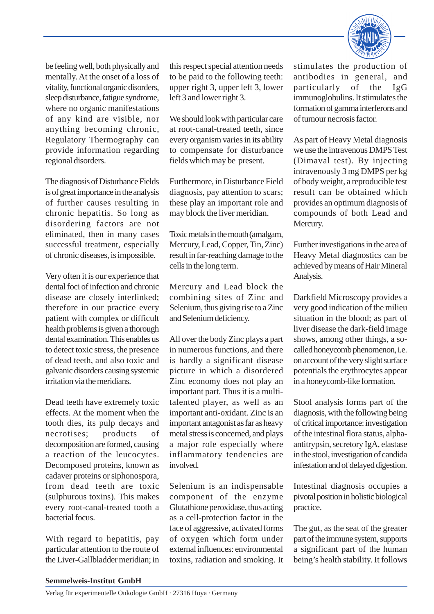

be feeling well, both physically and mentally. At the onset of a loss of vitality, functional organic disorders, sleep disturbance, fatigue syndrome, where no organic manifestations of any kind are visible, nor anything becoming chronic, Regulatory Thermography can provide information regarding regional disorders.

The diagnosis of Disturbance Fields is of great importance in the analysis of further causes resulting in chronic hepatitis. So long as disordering factors are not eliminated, then in many cases successful treatment, especially of chronic diseases, is impossible.

Very often it is our experience that dental foci of infection and chronic disease are closely interlinked; therefore in our practice every patient with complex or difficult health problems is given a thorough dental examination. This enables us to detect toxic stress, the presence of dead teeth, and also toxic and galvanic disorders causing systemic irritation via the meridians.

Dead teeth have extremely toxic effects. At the moment when the tooth dies, its pulp decays and necrotises; products of decomposition are formed, causing a reaction of the leucocytes. Decomposed proteins, known as cadaver proteins or siphonospora, from dead teeth are toxic (sulphurous toxins). This makes every root-canal-treated tooth a bacterial focus.

With regard to hepatitis, pay particular attention to the route of the Liver-Gallbladder meridian; in

this respect special attention needs to be paid to the following teeth: upper right 3, upper left 3, lower left 3 and lower right 3.

We should look with particular care at root-canal-treated teeth, since every organism varies in its ability to compensate for disturbance fields which may be present.

Furthermore, in Disturbance Field diagnosis, pay attention to scars; these play an important role and may block the liver meridian.

Toxic metals in the mouth (amalgam, Mercury, Lead, Copper, Tin, Zinc) result in far-reaching damage to the cells in the long term.

Mercury and Lead block the combining sites of Zinc and Selenium, thus giving rise to a Zinc and Selenium deficiency.

All over the body Zinc plays a part in numerous functions, and there is hardly a significant disease picture in which a disordered Zinc economy does not play an important part. Thus it is a multitalented player, as well as an important anti-oxidant. Zinc is an important antagonist as far as heavy metal stress is concerned, and plays a major role especially where inflammatory tendencies are involved.

Selenium is an indispensable component of the enzyme Glutathione peroxidase, thus acting as a cell-protection factor in the face of aggressive, activated forms of oxygen which form under external influences: environmental toxins, radiation and smoking. It

stimulates the production of antibodies in general, and particularly of the IgG immunoglobulins. It stimulates the formation of gamma interferons and of tumour necrosis factor.

As part of Heavy Metal diagnosis we use the intravenous DMPS Test (Dimaval test). By injecting intravenously 3 mg DMPS per kg of body weight, a reproducible test result can be obtained which provides an optimum diagnosis of compounds of both Lead and Mercury.

Further investigations in the area of Heavy Metal diagnostics can be achieved by means of Hair Mineral Analysis.

Darkfield Microscopy provides a very good indication of the milieu situation in the blood; as part of liver disease the dark-field image shows, among other things, a socalled honeycomb phenomenon, i.e. on account of the very slight surface potentials the erythrocytes appear in a honeycomb-like formation.

Stool analysis forms part of the diagnosis, with the following being of critical importance: investigation of the intestinal flora status, alphaantitrypsin, secretory IgA, elastase in the stool, investigation of candida infestation and of delayed digestion.

Intestinal diagnosis occupies a pivotal position in holistic biological practice.

The gut, as the seat of the greater part of the immune system, supports a significant part of the human being's health stability. It follows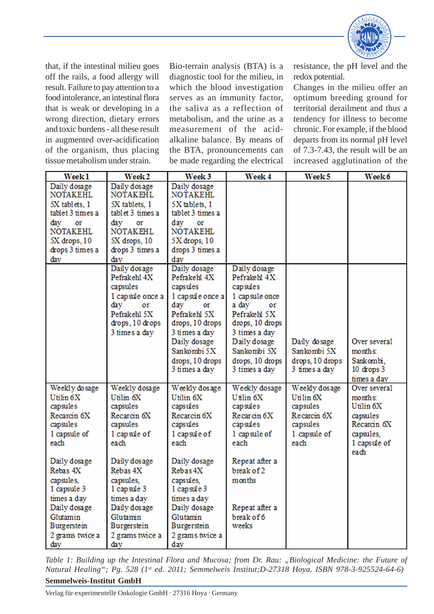

that, if the intestinal milieu goes off the rails, a food allergy will result. Failure to pay attention to a food intolerance, an intestinal flora that is weak or developing in a wrong direction, dietary errors and toxic burdens - all these result in augmented over-acidification of the organism, thus placing tissue metabolism under strain.

Bio-terrain analysis (BTA) is a diagnostic tool for the milieu, in which the blood investigation serves as an immunity factor, the saliva as a reflection of metabolism, and the urine as a measurement of the acidalkaline balance. By means of the BTA, pronouncements can be made regarding the electrical

resistance, the pH level and the redox potential.

Changes in the milieu offer an optimum breeding ground for territorial derailment and thus a tendency for illness to become chronic. For example, if the blood departs from its normal pH level of 7.3-7.43, the result will be an increased agglutination of the

| Week <sub>1</sub>                                                                                                                                                                                                                      | Week <sub>2</sub>                                                                                                                                                                                                                                | Week <sub>3</sub>                                                                                                                                                                                                                                | Week 4                                                                                                                                                                                           | Week <sub>5</sub>                                                                                    | Week 6                                                                                               |
|----------------------------------------------------------------------------------------------------------------------------------------------------------------------------------------------------------------------------------------|--------------------------------------------------------------------------------------------------------------------------------------------------------------------------------------------------------------------------------------------------|--------------------------------------------------------------------------------------------------------------------------------------------------------------------------------------------------------------------------------------------------|--------------------------------------------------------------------------------------------------------------------------------------------------------------------------------------------------|------------------------------------------------------------------------------------------------------|------------------------------------------------------------------------------------------------------|
| Daily dosage<br><b>NOTAKEHL</b><br>5X tablets, 1<br>tablet 3 times a<br>day<br>or<br><b>NOTAKEHL</b><br>5X drops, 10<br>drops 3 times a                                                                                                | Daily dosage<br><b>NOTAKEHL</b><br>5X tablets, 1<br>tablet 3 times a<br>day<br><b>Of</b><br><b>NOTAKEHL</b><br>5X drops, 10<br>drops 3 times a                                                                                                   | Daily dosage<br><b>NOTAKEHL</b><br>5X tablets, 1<br>tablet 3 times a<br>day<br>or<br><b>NOTAKEHL</b><br>$5X$ drops, $10$<br>drops 3 times a                                                                                                      |                                                                                                                                                                                                  |                                                                                                      |                                                                                                      |
| day                                                                                                                                                                                                                                    | day                                                                                                                                                                                                                                              | day                                                                                                                                                                                                                                              |                                                                                                                                                                                                  |                                                                                                      |                                                                                                      |
|                                                                                                                                                                                                                                        | Daily dosage<br>Pefrakehl 4X<br>capsules<br>1 capsule once a<br>day<br>0r<br>Pefrakehl 5X<br>drops, 10 drops<br>3 times a day                                                                                                                    | Daily dosage<br>Pefrakehl 4X<br>capsules<br>1 capsule once a<br>day<br>or<br>Pefrakehl 5X<br>drops, 10 drops<br>3 times a day<br>Daily dosage<br>Sankombi 5X<br>drops, 10 drops<br>3 times a day                                                 | Daily dosage<br>Pefrakehl 4X<br>capsules<br>1 capsule once<br>a day<br>or<br>Pefrakehl 5X<br>drops, 10 drops<br>3 times a day<br>Daily dosage<br>Sankombi 5X<br>drops, 10 drops<br>3 times a day | Daily dosage<br>Sankombi 5X<br>drops, 10 drops<br>3 times a day                                      | Over several<br>months:<br>Sankombi,<br>10 drops 3<br>times a day                                    |
| Weekly do sage<br>Utilin 6X<br>capsules<br>Recarcin 6X<br>capsules<br>1 capsule of<br>each<br>Daily dosage<br>Rebas 4X<br>capsules,<br>1 capsule 3<br>times a day<br>Daily dosage<br>Glutamin<br>Burgerstein<br>2 grams twice a<br>day | Weekly dosage<br>Utilin 6X<br>capsules<br>Recarcin <sub>6X</sub><br>capsules<br>1 capsule of<br>each<br>Daily dosage<br>Rebas 4X<br>capsules.<br>1 capsule 3<br>times a day<br>Daily dosage<br>Glutamin<br>Burgerstein<br>2 grams twice a<br>day | Weekly dosage<br>Utilin 6X<br>capsules<br>Recarcin <sub>6X</sub><br>capsules<br>1 capsule of<br>each<br>Daily dosage<br>Rebas 4X<br>capsules,<br>1 capsule 3<br>times a day<br>Daily dosage<br>Glutamin<br>Burgerstein<br>2 grams twice a<br>day | Weekly dosage<br>Utilin 6X<br>capsules<br>Recarcin <sub>6</sub> X<br>capsules<br>1 capsule of<br>each<br>Repeat after a<br>break of 2<br>months<br>Repeat after a<br>break of 6<br>weeks         | Weekly dosage<br>Utilin <sub>6X</sub><br>capsules<br>Recarcin 6X<br>capsules<br>1 capsule of<br>each | Over several<br>months:<br>Utilin 6X<br>capsules<br>Recarcin 6X<br>capsules,<br>1 capsule of<br>each |

**Semmelweis-Institut GmbH** *Table 1: Building up the Intestinal Flora and Mucosa; from Dr. Rau: "Biological Medicine: the Future of Natural Healing"; Pg. 528 (1st ed. 2011; Semmelweis Institut;D-27318 Hoya. ISBN 978-3-925524-64-6)*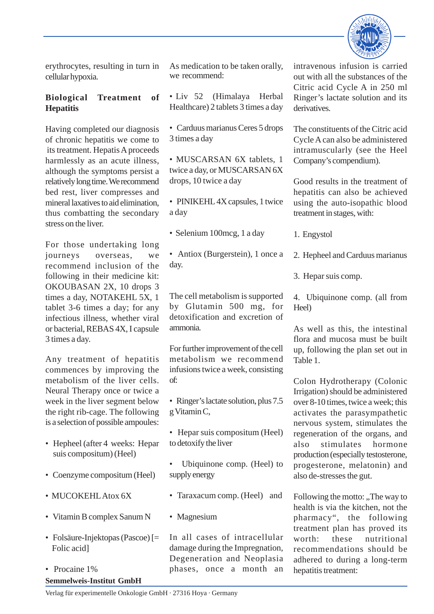

erythrocytes, resulting in turn in cellular hypoxia.

# **Biological Treatment of Hepatitis**

Having completed our diagnosis of chronic hepatitis we come to its treatment. Hepatis A proceeds harmlessly as an acute illness, although the symptoms persist a relatively long time. We recommend bed rest, liver compresses and mineral laxatives to aid elimination, thus combatting the secondary stress on the liver.

For those undertaking long journeys overseas, we recommend inclusion of the following in their medicine kit: OKOUBASAN 2X, 10 drops 3 times a day, NOTAKEHL 5X, 1 tablet 3-6 times a day; for any infectious illness, whether viral or bacterial, REBAS 4X, I capsule 3 times a day.

Any treatment of hepatitis commences by improving the metabolism of the liver cells. Neural Therapy once or twice a week in the liver segment below the right rib-cage. The following is a selection of possible ampoules:

- Hepheel (after 4 weeks: Hepar suis compositum) (Heel)
- Coenzyme compositum (Heel)
- MUCOKEHL Atox 6X
- Vitamin B complex Sanum N
- Folsäure-Injektopas (Pascoe) [= Folic acid]
- **Semmelweis-Institut GmbH** • Procaine 1%

As medication to be taken orally, we recommend:

- Liv 52 (Himalaya Herbal Healthcare) 2 tablets 3 times a day
- Carduus marianus Ceres 5 drops 3 times a day

• MUSCARSAN 6X tablets, 1 twice a day, or MUSCARSAN 6X drops, 10 twice a day

• PINIKEHL 4X capsules, 1 twice a day

• Selenium 100mcg, 1 a day

• Antiox (Burgerstein), 1 once a day.

The cell metabolism is supported by Glutamin 500 mg, for detoxification and excretion of ammonia.

For further improvement of the cell metabolism we recommend infusions twice a week, consisting of:

• Ringer's lactate solution, plus 7.5 g Vitamin C,

- Hepar suis compositum (Heel) to detoxify the liver
- Ubiquinone comp. (Heel) to supply energy
- Taraxacum comp. (Heel) and
- Magnesium

In all cases of intracellular damage during the Impregnation, Degeneration and Neoplasia phases, once a month an

intravenous infusion is carried out with all the substances of the Citric acid Cycle A in 250 ml Ringer's lactate solution and its derivatives.

The constituents of the Citric acid Cycle A can also be administered intramuscularly (see the Heel Company's compendium).

Good results in the treatment of hepatitis can also be achieved using the auto-isopathic blood treatment in stages, with:

1. Engystol

2. Hepheel and Carduus marianus

3. Hepar suis comp.

4. Ubiquinone comp. (all from Heel)

As well as this, the intestinal flora and mucosa must be built up, following the plan set out in Table 1.

Colon Hydrotherapy (Colonic Irrigation) should be administered over 8-10 times, twice a week; this activates the parasympathetic nervous system, stimulates the regeneration of the organs, and also stimulates hormone production (especially testosterone, progesterone, melatonin) and also de-stresses the gut.

Following the motto: "The way to health is via the kitchen, not the pharmacy", the following treatment plan has proved its worth: these nutritional recommendations should be adhered to during a long-term hepatitis treatment: